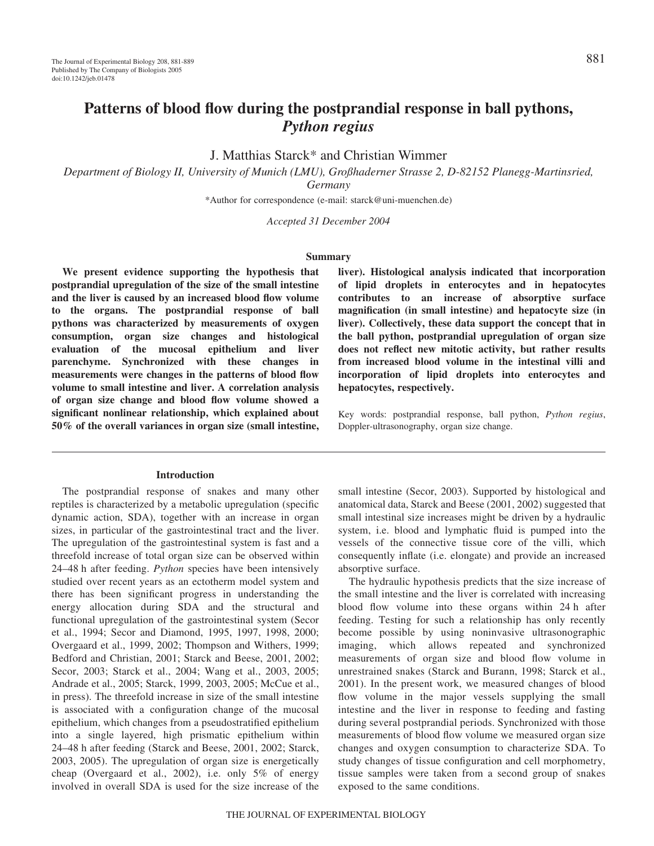# **Patterns of blood flow during the postprandial response in ball pythons,** *Python regius*

J. Matthias Starck\* and Christian Wimmer

*Department of Biology II, University of Munich (LMU), Großhaderner Strasse 2, D-82152 Planegg-Martinsried, Germany*

\*Author for correspondence (e-mail: starck@uni-muenchen.de)

*Accepted 31 December 2004*

# **Summary**

**We present evidence supporting the hypothesis that postprandial upregulation of the size of the small intestine and the liver is caused by an increased blood flow volume to the organs. The postprandial response of ball pythons was characterized by measurements of oxygen consumption, organ size changes and histological evaluation of the mucosal epithelium and liver parenchyme. Synchronized with these changes in measurements were changes in the patterns of blood flow volume to small intestine and liver. A correlation analysis of organ size change and blood flow volume showed a significant nonlinear relationship, which explained about 50% of the overall variances in organ size (small intestine,**

# **Introduction**

The postprandial response of snakes and many other reptiles is characterized by a metabolic upregulation (specific dynamic action, SDA), together with an increase in organ sizes, in particular of the gastrointestinal tract and the liver. The upregulation of the gastrointestinal system is fast and a threefold increase of total organ size can be observed within 24–48 h after feeding. *Python* species have been intensively studied over recent years as an ectotherm model system and there has been significant progress in understanding the energy allocation during SDA and the structural and functional upregulation of the gastrointestinal system (Secor et al., 1994; Secor and Diamond, 1995, 1997, 1998, 2000; Overgaard et al., 1999, 2002; Thompson and Withers, 1999; Bedford and Christian, 2001; Starck and Beese, 2001, 2002; Secor, 2003; Starck et al., 2004; Wang et al., 2003, 2005; Andrade et al., 2005; Starck, 1999, 2003, 2005; McCue et al., in press). The threefold increase in size of the small intestine is associated with a configuration change of the mucosal epithelium, which changes from a pseudostratified epithelium into a single layered, high prismatic epithelium within 24–48 h after feeding (Starck and Beese, 2001, 2002; Starck, 2003, 2005). The upregulation of organ size is energetically cheap (Overgaard et al., 2002), i.e. only 5% of energy involved in overall SDA is used for the size increase of the

**liver). Histological analysis indicated that incorporation of lipid droplets in enterocytes and in hepatocytes contributes to an increase of absorptive surface magnification (in small intestine) and hepatocyte size (in liver). Collectively, these data support the concept that in the ball python, postprandial upregulation of organ size does not reflect new mitotic activity, but rather results from increased blood volume in the intestinal villi and incorporation of lipid droplets into enterocytes and hepatocytes, respectively.**

Key words: postprandial response, ball python, *Python regius*, Doppler-ultrasonography, organ size change.

small intestine (Secor, 2003). Supported by histological and anatomical data, Starck and Beese (2001, 2002) suggested that small intestinal size increases might be driven by a hydraulic system, i.e. blood and lymphatic fluid is pumped into the vessels of the connective tissue core of the villi, which consequently inflate (i.e. elongate) and provide an increased absorptive surface.

The hydraulic hypothesis predicts that the size increase of the small intestine and the liver is correlated with increasing blood flow volume into these organs within 24 h after feeding. Testing for such a relationship has only recently become possible by using noninvasive ultrasonographic imaging, which allows repeated and synchronized measurements of organ size and blood flow volume in unrestrained snakes (Starck and Burann, 1998; Starck et al., 2001). In the present work, we measured changes of blood flow volume in the major vessels supplying the small intestine and the liver in response to feeding and fasting during several postprandial periods. Synchronized with those measurements of blood flow volume we measured organ size changes and oxygen consumption to characterize SDA. To study changes of tissue configuration and cell morphometry, tissue samples were taken from a second group of snakes exposed to the same conditions.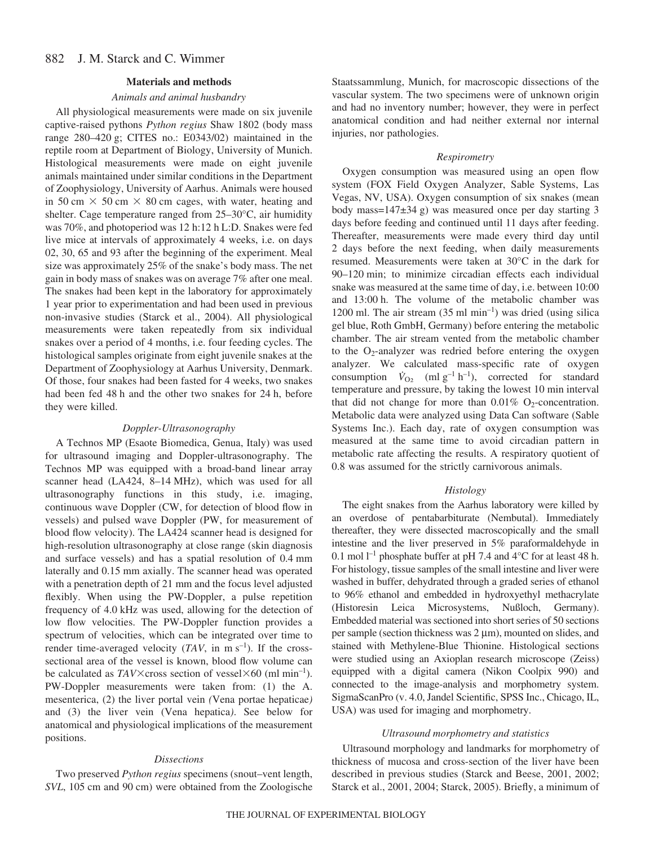#### 882 J. M. Starck and C. Wimmer

#### **Materials and methods**

# *Animals and animal husbandry*

All physiological measurements were made on six juvenile captive-raised pythons *Python regius* Shaw 1802 (body mass range  $280-420$  g; CITES no.: E0343/02) maintained in the reptile room at Department of Biology, University of Munich. Histological measurements were made on eight juvenile animals maintained under similar conditions in the Department of Zoophysiology, University of Aarhus. Animals were housed in 50 cm  $\times$  50 cm  $\times$  80 cm cages, with water, heating and shelter. Cage temperature ranged from 25–30°C, air humidity was 70%, and photoperiod was 12 h:12 h L:D. Snakes were fed live mice at intervals of approximately 4 weeks, i.e. on days 02, 30, 65 and 93 after the beginning of the experiment. Meal size was approximately 25% of the snake's body mass. The net gain in body mass of snakes was on average 7% after one meal. The snakes had been kept in the laboratory for approximately 1 year prior to experimentation and had been used in previous non-invasive studies (Starck et al., 2004). All physiological measurements were taken repeatedly from six individual snakes over a period of 4 months, i.e. four feeding cycles. The histological samples originate from eight juvenile snakes at the Department of Zoophysiology at Aarhus University, Denmark. Of those, four snakes had been fasted for 4 weeks, two snakes had been fed 48 h and the other two snakes for 24 h, before they were killed.

# *Doppler-Ultrasonography*

A Technos MP (Esaote Biomedica, Genua, Italy) was used for ultrasound imaging and Doppler-ultrasonography. The Technos MP was equipped with a broad-band linear array scanner head (LA424, 8-14 MHz), which was used for all ultrasonography functions in this study, i.e. imaging, continuous wave Doppler (CW, for detection of blood flow in vessels) and pulsed wave Doppler (PW, for measurement of blood flow velocity). The LA424 scanner head is designed for high-resolution ultrasonography at close range (skin diagnosis and surface vessels) and has a spatial resolution of 0.4 mm laterally and 0.15 mm axially. The scanner head was operated with a penetration depth of 21 mm and the focus level adjusted flexibly. When using the PW-Doppler, a pulse repetition frequency of 4.0 kHz was used, allowing for the detection of low flow velocities. The PW-Doppler function provides a spectrum of velocities, which can be integrated over time to render time-averaged velocity  $(TAV, in m s<sup>-1</sup>)$ . If the crosssectional area of the vessel is known, blood flow volume can be calculated as  $TAV\times$ cross section of vessel $\times$ 60 (ml min<sup>-1</sup>). PW-Doppler measurements were taken from: (1) the A. mesenterica, (2) the liver portal vein *(*Vena portae hepaticae*)* and (3) the liver vein (Vena hepatica*)*. See below for anatomical and physiological implications of the measurement positions.

# *Dissections*

Two preserved *Python regius* specimens (snout–vent length, *SVL*, 105 cm and 90 cm) were obtained from the Zoologische Staatssammlung, Munich, for macroscopic dissections of the vascular system. The two specimens were of unknown origin and had no inventory number; however, they were in perfect anatomical condition and had neither external nor internal injuries, nor pathologies.

### *Respirometry*

Oxygen consumption was measured using an open flow system (FOX Field Oxygen Analyzer, Sable Systems, Las Vegas, NV, USA). Oxygen consumption of six snakes (mean body mass= $147\pm34$  g) was measured once per day starting 3 days before feeding and continued until 11 days after feeding. Thereafter, measurements were made every third day until 2 days before the next feeding, when daily measurements resumed. Measurements were taken at 30°C in the dark for 90–120 min; to minimize circadian effects each individual snake was measured at the same time of day, i.e. between 10:00 and 13:00 h. The volume of the metabolic chamber was 1200 ml. The air stream  $(35 \text{ ml } \text{min}^{-1})$  was dried (using silica gel blue, Roth GmbH, Germany) before entering the metabolic chamber. The air stream vented from the metabolic chamber to the  $O_2$ -analyzer was redried before entering the oxygen analyzer. We calculated mass-specific rate of oxygen consumption  $\dot{V}_{O_2}$  (ml g<sup>-1</sup> h<sup>-1</sup>), corrected for standard temperature and pressure, by taking the lowest 10 min interval that did not change for more than  $0.01\%$  O<sub>2</sub>-concentration. Metabolic data were analyzed using Data Can software (Sable Systems Inc.). Each day, rate of oxygen consumption was measured at the same time to avoid circadian pattern in metabolic rate affecting the results. A respiratory quotient of 0.8 was assumed for the strictly carnivorous animals.

# *Histology*

The eight snakes from the Aarhus laboratory were killed by an overdose of pentabarbiturate (Nembutal). Immediately thereafter, they were dissected macroscopically and the small intestine and the liver preserved in 5% paraformaldehyde in 0.1 mol  $l^{-1}$  phosphate buffer at pH 7.4 and 4°C for at least 48 h. For histology, tissue samples of the small intestine and liver were washed in buffer, dehydrated through a graded series of ethanol to 96% ethanol and embedded in hydroxyethyl methacrylate (Historesin Leica Microsystems, Nußloch, Germany). Embedded material was sectioned into short series of 50 sections per sample (section thickness was  $2 \mu m$ ), mounted on slides, and stained with Methylene-Blue Thionine. Histological sections were studied using an Axioplan research microscope (Zeiss) equipped with a digital camera (Nikon Coolpix 990) and connected to the image-analysis and morphometry system. SigmaScanPro (v. 4.0, Jandel Scientific, SPSS Inc., Chicago, IL, USA) was used for imaging and morphometry.

# *Ultrasound morphometry and statistics*

Ultrasound morphology and landmarks for morphometry of thickness of mucosa and cross-section of the liver have been described in previous studies (Starck and Beese, 2001, 2002; Starck et al., 2001, 2004; Starck, 2005). Briefly, a minimum of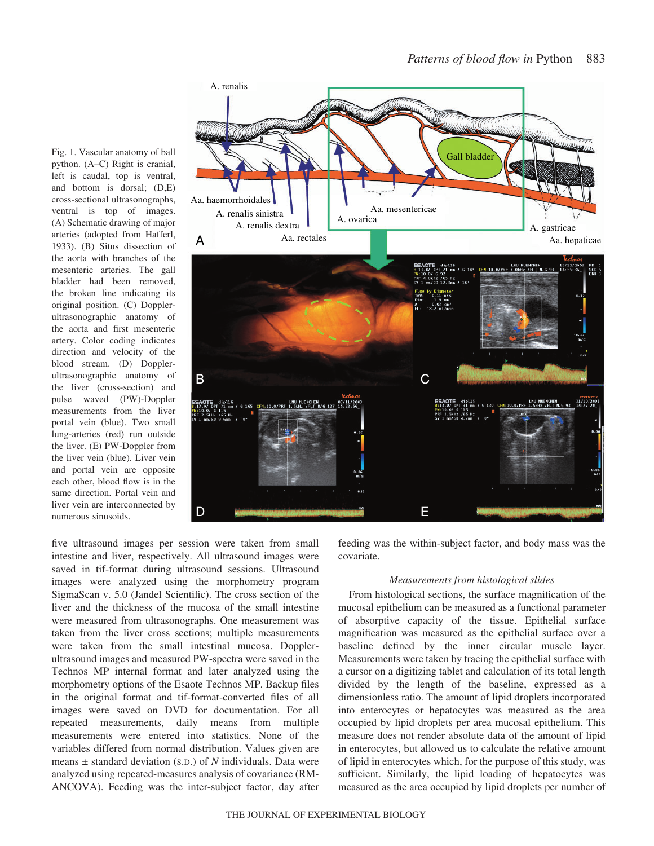Fig. 1. Vascular anatomy of ball python. (A–C) Right is cranial, left is caudal, top is ventral, and bottom is dorsal; (D,E) cross-sectional ultrasonographs, ventral is top of images. (A) Schematic drawing of major arteries (adopted from Hafferl, 1933). (B) Situs dissection of the aorta with branches of the mesenteric arteries. The gall bladder had been removed, the broken line indicating its original position. (C) Dopplerultrasonographic anatomy of the aorta and first mesenteric artery. Color coding indicates direction and velocity of the blood stream. (D) Dopplerultrasonographic anatomy of the liver (cross-section) and pulse waved (PW)-Doppler measurements from the liver portal vein (blue). Two small lung-arteries (red) run outside the liver. (E) PW-Doppler from the liver vein (blue). Liver vein and portal vein are opposite each other, blood flow is in the same direction. Portal vein and liver vein are interconnected by numerous sinusoids.



five ultrasound images per session were taken from small intestine and liver, respectively. All ultrasound images were saved in tif-format during ultrasound sessions. Ultrasound images were analyzed using the morphometry program SigmaScan v. 5.0 (Jandel Scientific). The cross section of the liver and the thickness of the mucosa of the small intestine were measured from ultrasonographs. One measurement was taken from the liver cross sections; multiple measurements were taken from the small intestinal mucosa. Dopplerultrasound images and measured PW-spectra were saved in the Technos MP internal format and later analyzed using the morphometry options of the Esaote Technos MP. Backup files in the original format and tif-format-converted files of all images were saved on DVD for documentation. For all repeated measurements, daily means from multiple measurements were entered into statistics. None of the variables differed from normal distribution. Values given are means ± standard deviation (S.D.) of *N* individuals. Data were analyzed using repeated-measures analysis of covariance (RM-ANCOVA). Feeding was the inter-subject factor, day after

feeding was the within-subject factor, and body mass was the covariate.

# *Measurements from histological slides*

From histological sections, the surface magnification of the mucosal epithelium can be measured as a functional parameter of absorptive capacity of the tissue. Epithelial surface magnification was measured as the epithelial surface over a baseline defined by the inner circular muscle layer. Measurements were taken by tracing the epithelial surface with a cursor on a digitizing tablet and calculation of its total length divided by the length of the baseline, expressed as a dimensionless ratio. The amount of lipid droplets incorporated into enterocytes or hepatocytes was measured as the area occupied by lipid droplets per area mucosal epithelium. This measure does not render absolute data of the amount of lipid in enterocytes, but allowed us to calculate the relative amount of lipid in enterocytes which, for the purpose of this study, was sufficient. Similarly, the lipid loading of hepatocytes was measured as the area occupied by lipid droplets per number of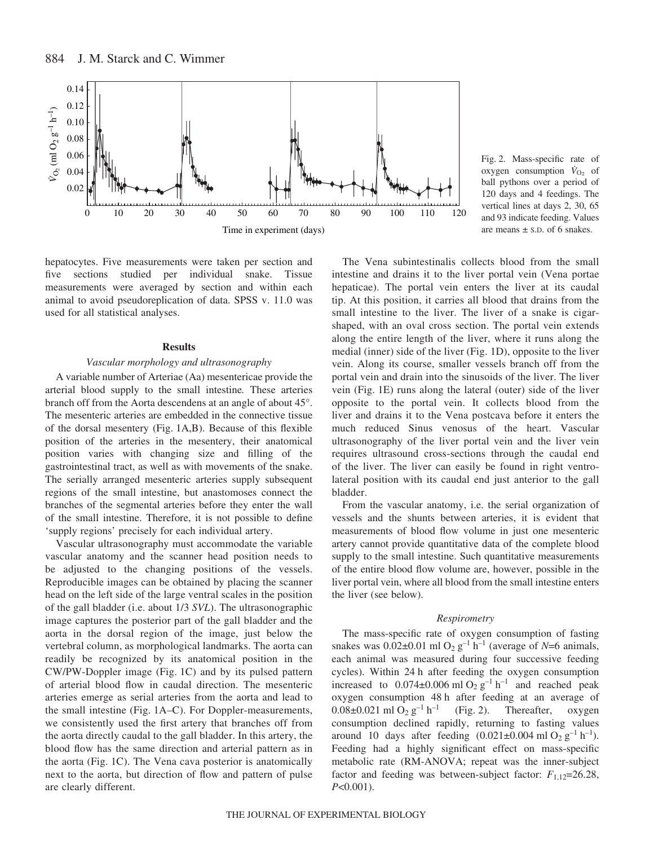

hepatocytes. Five measurements were taken per section and five sections studied per individual snake. Tissue measurements were averaged by section and within each animal to avoid pseudoreplication of data. SPSS v. 11.0 was used for all statistical analyses.

# **Results**

#### *Vascular morphology and ultrasonography*

A variable number of Arteriae (Aa) mesentericae provide the arterial blood supply to the small intestine*.* These arteries branch off from the Aorta descendens at an angle of about 45°. The mesenteric arteries are embedded in the connective tissue of the dorsal mesentery (Fig. 1A,B). Because of this flexible position of the arteries in the mesentery, their anatomical position varies with changing size and filling of the gastrointestinal tract, as well as with movements of the snake. The serially arranged mesenteric arteries supply subsequent regions of the small intestine, but anastomoses connect the branches of the segmental arteries before they enter the wall of the small intestine. Therefore, it is not possible to define 'supply regions' precisely for each individual artery.

Vascular ultrasonography must accommodate the variable vascular anatomy and the scanner head position needs to be adjusted to the changing positions of the vessels. Reproducible images can be obtained by placing the scanner head on the left side of the large ventral scales in the position of the gall bladder (i.e. about 1/3 *SVL*). The ultrasonographic image captures the posterior part of the gall bladder and the aorta in the dorsal region of the image, just below the vertebral column, as morphological landmarks. The aorta can readily be recognized by its anatomical position in the CW/PW-Doppler image (Fig. 1C) and by its pulsed pattern of arterial blood flow in caudal direction. The mesenteric arteries emerge as serial arteries from the aorta and lead to the small intestine (Fig. 1A–C). For Doppler-measurements, we consistently used the first artery that branches off from the aorta directly caudal to the gall bladder. In this artery, the blood flow has the same direction and arterial pattern as in the aorta (Fig. 1C). The Vena cava posterior is anatomically next to the aorta, but direction of flow and pattern of pulse are clearly different.

Fig. 2. Mass-specific rate of oxygen consumption  $\dot{V}_{\text{O}_2}$  of ball pythons over a period of 120 days and 4 feedings. The vertical lines at days 2, 30, 65 and 93 indicate feeding. Values are means  $\pm$  s.p. of 6 snakes.

The Vena subintestinalis collects blood from the small intestine and drains it to the liver portal vein (Vena portae hepaticae). The portal vein enters the liver at its caudal tip. At this position, it carries all blood that drains from the small intestine to the liver. The liver of a snake is cigarshaped, with an oval cross section. The portal vein extends along the entire length of the liver, where it runs along the medial (inner) side of the liver (Fig. 1D), opposite to the liver vein. Along its course, smaller vessels branch off from the portal vein and drain into the sinusoids of the liver. The liver vein (Fig. 1E) runs along the lateral (outer) side of the liver opposite to the portal vein. It collects blood from the liver and drains it to the Vena postcava before it enters the much reduced Sinus venosus of the heart. Vascular ultrasonography of the liver portal vein and the liver vein requires ultrasound cross-sections through the caudal end of the liver. The liver can easily be found in right ventrolateral position with its caudal end just anterior to the gall bladder.

From the vascular anatomy, i.e. the serial organization of vessels and the shunts between arteries, it is evident that measurements of blood flow volume in just one mesenteric artery cannot provide quantitative data of the complete blood supply to the small intestine. Such quantitative measurements of the entire blood flow volume are, however, possible in the liver portal vein, where all blood from the small intestine enters the liver (see below).

# *Respirometry*

The mass-specific rate of oxygen consumption of fasting snakes was  $0.02\pm0.01$  ml O<sub>2</sub> g<sup>-1</sup> h<sup>-1</sup> (average of *N*=6 animals, each animal was measured during four successive feeding cycles). Within 24 h after feeding the oxygen consumption increased to  $0.074\pm0.006$  ml O<sub>2</sub> g<sup>-1</sup> h<sup>-1</sup> and reached peak oxygen consumption 48 h after feeding at an average of  $0.08\pm0.021$  ml  $O_2$   $g^{-1}$  h<sup>-1</sup> (Fig. 2). Thereafter, oxygen consumption declined rapidly, returning to fasting values around 10 days after feeding  $(0.021\pm0.004 \text{ ml } O_2 \text{ g}^{-1} \text{ h}^{-1})$ . Feeding had a highly significant effect on mass-specific metabolic rate (RM-ANOVA; repeat was the inner-subject factor and feeding was between-subject factor:  $F_{1,12}=26.28$ , *P*<0.001).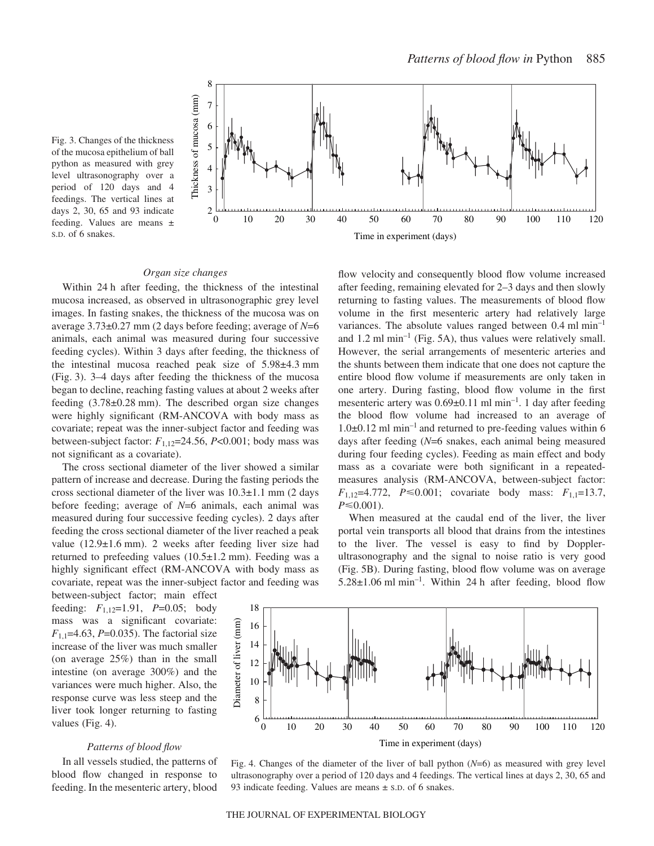

Fig. 3. Changes of the thickness of the mucosa epithelium of ball python as measured with grey level ultrasonography over a period of 120 days and 4 feedings. The vertical lines at days 2, 30, 65 and 93 indicate feeding. Values are means ± S.D. of 6 snakes.

#### *Organ size changes*

Within 24 h after feeding, the thickness of the intestinal mucosa increased, as observed in ultrasonographic grey level images. In fasting snakes, the thickness of the mucosa was on average 3.73±0.27·mm (2 days before feeding; average of *N*=6 animals, each animal was measured during four successive feeding cycles). Within 3 days after feeding, the thickness of the intestinal mucosa reached peak size of  $5.98\pm4.3$  mm (Fig. 3). 3–4 days after feeding the thickness of the mucosa began to decline, reaching fasting values at about 2 weeks after feeding  $(3.78\pm0.28$  mm). The described organ size changes were highly significant (RM-ANCOVA with body mass as covariate; repeat was the inner-subject factor and feeding was between-subject factor:  $F_{1,12}$ =24.56,  $P$ <0.001; body mass was not significant as a covariate).

The cross sectional diameter of the liver showed a similar pattern of increase and decrease. During the fasting periods the cross sectional diameter of the liver was  $10.3\pm1.1$  mm (2 days before feeding; average of *N*=6 animals, each animal was measured during four successive feeding cycles). 2 days after feeding the cross sectional diameter of the liver reached a peak value  $(12.9\pm1.6$  mm). 2 weeks after feeding liver size had returned to prefeeding values  $(10.5\pm1.2~\text{mm})$ . Feeding was a highly significant effect (RM-ANCOVA with body mass as covariate, repeat was the inner-subject factor and feeding was

between-subject factor; main effect feeding: *F*1,12=1.91, *P*=0.05; body mass was a significant covariate: *F*1,1=4.63, *P*=0.035). The factorial size increase of the liver was much smaller (on average 25%) than in the small intestine (on average 300%) and the variances were much higher. Also, the response curve was less steep and the liver took longer returning to fasting values (Fig. 4).

# *Patterns of blood flow*

In all vessels studied, the patterns of blood flow changed in response to feeding. In the mesenteric artery, blood flow velocity and consequently blood flow volume increased after feeding, remaining elevated for 2–3 days and then slowly returning to fasting values. The measurements of blood flow volume in the first mesenteric artery had relatively large variances. The absolute values ranged between  $0.4 \text{ ml min}^{-1}$ and  $1.2 \text{ ml min}^{-1}$  (Fig. 5A), thus values were relatively small. However, the serial arrangements of mesenteric arteries and the shunts between them indicate that one does not capture the entire blood flow volume if measurements are only taken in one artery. During fasting, blood flow volume in the first mesenteric artery was  $0.69\pm0.11$  ml min<sup>-1</sup>. 1 day after feeding the blood flow volume had increased to an average of  $1.0\pm0.12$  ml min<sup>-1</sup> and returned to pre-feeding values within 6 days after feeding (*N*=6 snakes, each animal being measured during four feeding cycles). Feeding as main effect and body mass as a covariate were both significant in a repeatedmeasures analysis (RM-ANCOVA, between-subject factor:  $F_{1,12}$ =4.772,  $P \le 0.001$ ; covariate body mass:  $F_{1,1}$ =13.7,  $P \leq 0.001$ ).

When measured at the caudal end of the liver, the liver portal vein transports all blood that drains from the intestines to the liver. The vessel is easy to find by Dopplerultrasonography and the signal to noise ratio is very good (Fig. 5B). During fasting, blood flow volume was on average  $5.28\pm1.06$  ml min<sup>-1</sup>. Within 24 h after feeding, blood flow



Fig. 4. Changes of the diameter of the liver of ball python (*N*=6) as measured with grey level ultrasonography over a period of 120 days and 4 feedings. The vertical lines at days 2, 30, 65 and 93 indicate feeding. Values are means  $\pm$  s.D. of 6 snakes.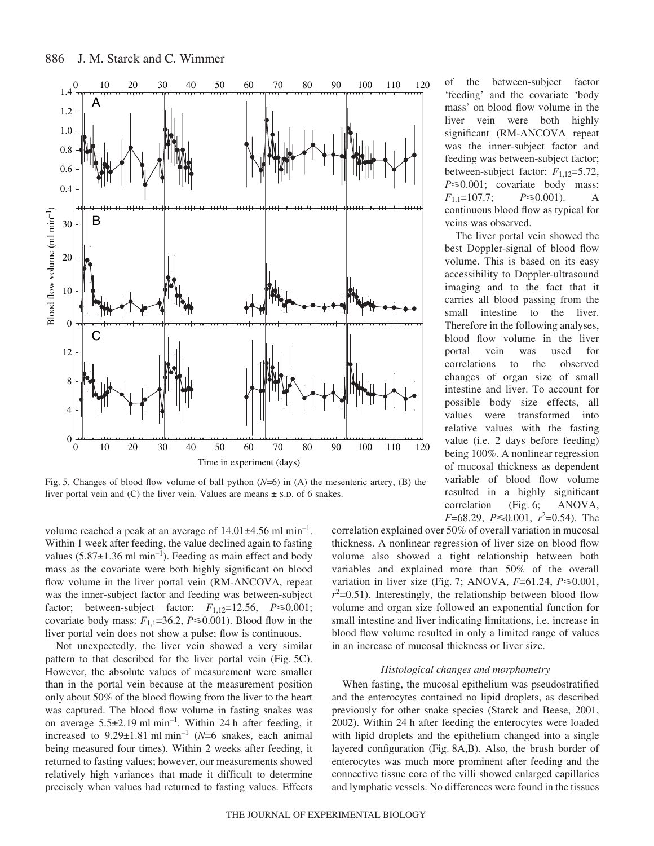

Fig. 5. Changes of blood flow volume of ball python  $(N=6)$  in (A) the mesenteric artery, (B) the liver portal vein and (C) the liver vein. Values are means ± S.D. of 6 snakes.

volume reached a peak at an average of  $14.01\pm4.56$  ml min<sup>-1</sup>. Within 1 week after feeding, the value declined again to fasting values  $(5.87\pm1.36 \text{ ml min}^{-1})$ . Feeding as main effect and body mass as the covariate were both highly significant on blood flow volume in the liver portal vein (RM-ANCOVA, repeat was the inner-subject factor and feeding was between-subject factor; between-subject factor:  $F_{1,12} = 12.56$ ,  $P \le 0.001$ ; covariate body mass:  $F_{1,1}=36.2$ ,  $P \le 0.001$ ). Blood flow in the liver portal vein does not show a pulse; flow is continuous.

Not unexpectedly, the liver vein showed a very similar pattern to that described for the liver portal vein (Fig. 5C). However, the absolute values of measurement were smaller than in the portal vein because at the measurement position only about 50% of the blood flowing from the liver to the heart was captured. The blood flow volume in fasting snakes was on average  $5.5\pm2.19$  ml min<sup>-1</sup>. Within 24 h after feeding, it increased to  $9.29 \pm 1.81$  ml min<sup>-1</sup> (*N*=6 snakes, each animal being measured four times). Within 2 weeks after feeding, it returned to fasting values; however, our measurements showed relatively high variances that made it difficult to determine precisely when values had returned to fasting values. Effects

 $F=68.29, P \le 0.001, r^2=0.54$ . The correlation explained over 50% of overall variation in mucosal thickness. A nonlinear regression of liver size on blood flow volume also showed a tight relationship between both variables and explained more than 50% of the overall variation in liver size (Fig. 7; ANOVA,  $F=61.24$ ,  $P \le 0.001$ ,  $r^2$ =0.51). Interestingly, the relationship between blood flow volume and organ size followed an exponential function for small intestine and liver indicating limitations, i.e. increase in blood flow volume resulted in only a limited range of values in an increase of mucosal thickness or liver size.

of the between-subject factor 'feeding' and the covariate 'body mass' on blood flow volume in the liver vein were both highly significant (RM-ANCOVA repeat was the inner-subject factor and feeding was between-subject factor; between-subject factor: *F*1,12=5.72,  $P \le 0.001$ ; covariate body mass:

continuous blood flow as typical for

The liver portal vein showed the best Doppler-signal of blood flow volume. This is based on its easy accessibility to Doppler-ultrasound imaging and to the fact that it carries all blood passing from the small intestine to the liver. Therefore in the following analyses, blood flow volume in the liver portal vein was used for correlations to the observed changes of organ size of small intestine and liver. To account for possible body size effects, all values were transformed into relative values with the fasting value (i.e. 2 days before feeding) being 100%. A nonlinear regression of mucosal thickness as dependent variable of blood flow volume resulted in a highly significant correlation (Fig. 6; ANOVA,

 $P \le 0.001$ ). A

 $F_{1,1}=107.7;$ 

veins was observed.

# *Histological changes and morphometry*

When fasting, the mucosal epithelium was pseudostratified and the enterocytes contained no lipid droplets, as described previously for other snake species (Starck and Beese, 2001, 2002). Within 24 h after feeding the enterocytes were loaded with lipid droplets and the epithelium changed into a single layered configuration (Fig. 8A,B). Also, the brush border of enterocytes was much more prominent after feeding and the connective tissue core of the villi showed enlarged capillaries and lymphatic vessels. No differences were found in the tissues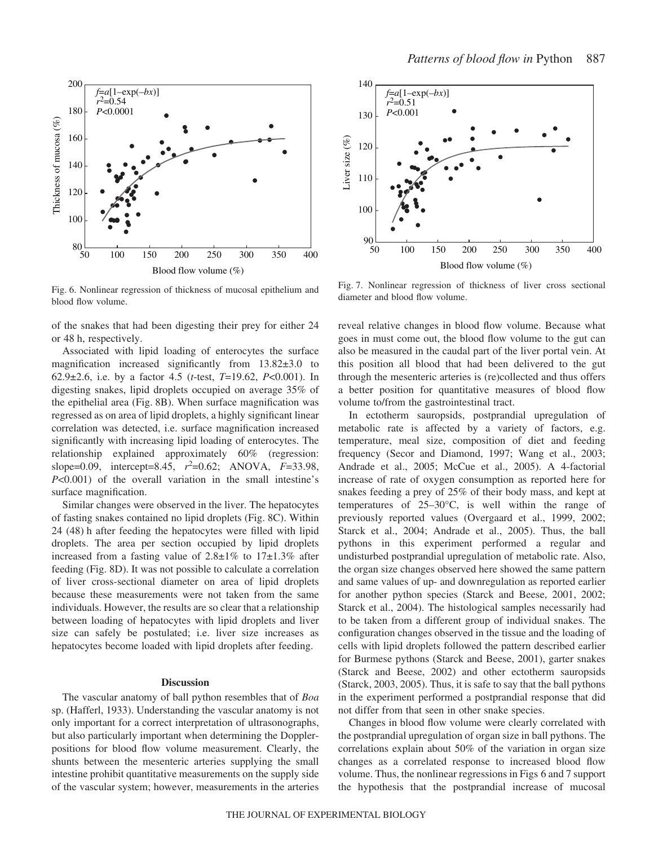

Fig. 6. Nonlinear regression of thickness of mucosal epithelium and blood flow volume.

of the snakes that had been digesting their prey for either 24 or 48 h, respectively.

Associated with lipid loading of enterocytes the surface magnification increased significantly from 13.82±3.0 to 62.9±2.6, i.e. by a factor 4.5 (*t*-test, *T*=19.62, *P*<0.001). In digesting snakes, lipid droplets occupied on average 35% of the epithelial area (Fig. 8B). When surface magnification was regressed as on area of lipid droplets, a highly significant linear correlation was detected, i.e. surface magnification increased significantly with increasing lipid loading of enterocytes. The relationship explained approximately 60% (regression: slope=0.09, intercept=8.45,  $r^2$ =0.62; ANOVA,  $F=33.98$ , *P*<0.001) of the overall variation in the small intestine's surface magnification.

Similar changes were observed in the liver. The hepatocytes of fasting snakes contained no lipid droplets (Fig. 8C). Within 24 (48) h after feeding the hepatocytes were filled with lipid droplets. The area per section occupied by lipid droplets increased from a fasting value of  $2.8 \pm 1\%$  to  $17 \pm 1.3\%$  after feeding (Fig. 8D). It was not possible to calculate a correlation of liver cross-sectional diameter on area of lipid droplets because these measurements were not taken from the same individuals. However, the results are so clear that a relationship between loading of hepatocytes with lipid droplets and liver size can safely be postulated; i.e. liver size increases as hepatocytes become loaded with lipid droplets after feeding.

#### **Discussion**

The vascular anatomy of ball python resembles that of *Boa* sp. (Hafferl, 1933). Understanding the vascular anatomy is not only important for a correct interpretation of ultrasonographs, but also particularly important when determining the Dopplerpositions for blood flow volume measurement. Clearly, the shunts between the mesenteric arteries supplying the small intestine prohibit quantitative measurements on the supply side of the vascular system; however, measurements in the arteries



Fig. 7. Nonlinear regression of thickness of liver cross sectional diameter and blood flow volume.

reveal relative changes in blood flow volume. Because what goes in must come out, the blood flow volume to the gut can also be measured in the caudal part of the liver portal vein. At this position all blood that had been delivered to the gut through the mesenteric arteries is (re)collected and thus offers a better position for quantitative measures of blood flow volume to/from the gastrointestinal tract.

In ectotherm sauropsids, postprandial upregulation of metabolic rate is affected by a variety of factors, e.g. temperature, meal size, composition of diet and feeding frequency (Secor and Diamond, 1997; Wang et al., 2003; Andrade et al., 2005; McCue et al., 2005). A 4-factorial increase of rate of oxygen consumption as reported here for snakes feeding a prey of 25% of their body mass, and kept at temperatures of 25–30°C, is well within the range of previously reported values (Overgaard et al., 1999, 2002; Starck et al., 2004; Andrade et al., 2005). Thus, the ball pythons in this experiment performed a regular and undisturbed postprandial upregulation of metabolic rate. Also, the organ size changes observed here showed the same pattern and same values of up- and downregulation as reported earlier for another python species (Starck and Beese, 2001, 2002; Starck et al., 2004). The histological samples necessarily had to be taken from a different group of individual snakes. The configuration changes observed in the tissue and the loading of cells with lipid droplets followed the pattern described earlier for Burmese pythons (Starck and Beese, 2001), garter snakes (Starck and Beese, 2002) and other ectotherm sauropsids (Starck, 2003, 2005). Thus, it is safe to say that the ball pythons in the experiment performed a postprandial response that did not differ from that seen in other snake species.

Changes in blood flow volume were clearly correlated with the postprandial upregulation of organ size in ball pythons. The correlations explain about 50% of the variation in organ size changes as a correlated response to increased blood flow volume. Thus, the nonlinear regressions in Figs 6 and 7 support the hypothesis that the postprandial increase of mucosal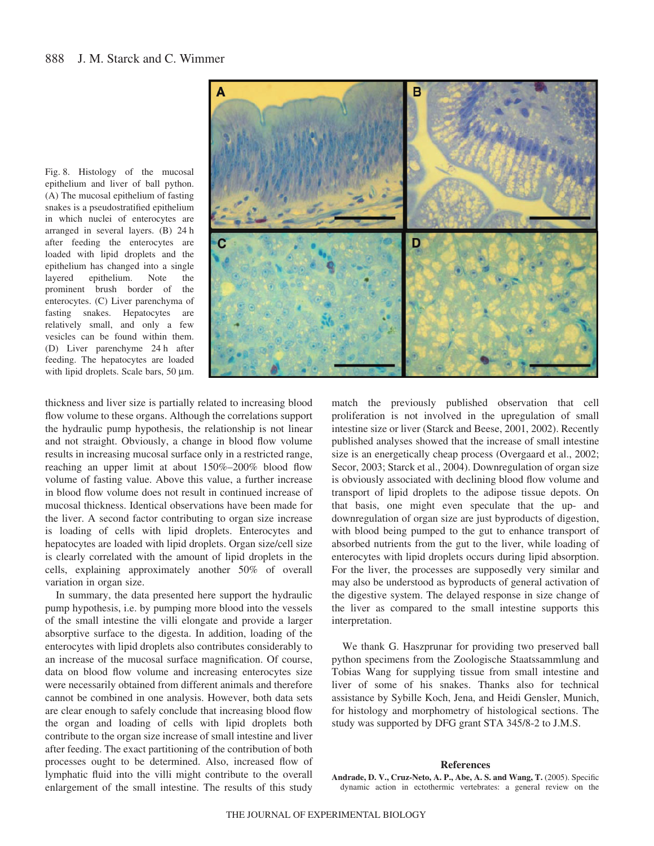



thickness and liver size is partially related to increasing blood flow volume to these organs. Although the correlations support the hydraulic pump hypothesis, the relationship is not linear and not straight. Obviously, a change in blood flow volume results in increasing mucosal surface only in a restricted range, reaching an upper limit at about 150%–200% blood flow volume of fasting value. Above this value, a further increase in blood flow volume does not result in continued increase of mucosal thickness. Identical observations have been made for the liver. A second factor contributing to organ size increase is loading of cells with lipid droplets. Enterocytes and hepatocytes are loaded with lipid droplets. Organ size/cell size is clearly correlated with the amount of lipid droplets in the cells, explaining approximately another 50% of overall variation in organ size.

In summary, the data presented here support the hydraulic pump hypothesis, i.e. by pumping more blood into the vessels of the small intestine the villi elongate and provide a larger absorptive surface to the digesta. In addition, loading of the enterocytes with lipid droplets also contributes considerably to an increase of the mucosal surface magnification. Of course, data on blood flow volume and increasing enterocytes size were necessarily obtained from different animals and therefore cannot be combined in one analysis. However, both data sets are clear enough to safely conclude that increasing blood flow the organ and loading of cells with lipid droplets both contribute to the organ size increase of small intestine and liver after feeding. The exact partitioning of the contribution of both processes ought to be determined. Also, increased flow of lymphatic fluid into the villi might contribute to the overall enlargement of the small intestine. The results of this study

match the previously published observation that cell proliferation is not involved in the upregulation of small intestine size or liver (Starck and Beese, 2001, 2002). Recently published analyses showed that the increase of small intestine size is an energetically cheap process (Overgaard et al., 2002; Secor, 2003; Starck et al., 2004). Downregulation of organ size is obviously associated with declining blood flow volume and transport of lipid droplets to the adipose tissue depots. On that basis, one might even speculate that the up- and downregulation of organ size are just byproducts of digestion, with blood being pumped to the gut to enhance transport of absorbed nutrients from the gut to the liver, while loading of enterocytes with lipid droplets occurs during lipid absorption. For the liver, the processes are supposedly very similar and may also be understood as byproducts of general activation of the digestive system. The delayed response in size change of the liver as compared to the small intestine supports this interpretation.

We thank G. Haszprunar for providing two preserved ball python specimens from the Zoologische Staatssammlung and Tobias Wang for supplying tissue from small intestine and liver of some of his snakes. Thanks also for technical assistance by Sybille Koch, Jena, and Heidi Gensler, Munich, for histology and morphometry of histological sections. The study was supported by DFG grant STA 345/8-2 to J.M.S.

#### **References**

**Andrade, D. V., Cruz-Neto, A. P., Abe, A. S. and Wang, T.** (2005). Specific dynamic action in ectothermic vertebrates: a general review on the